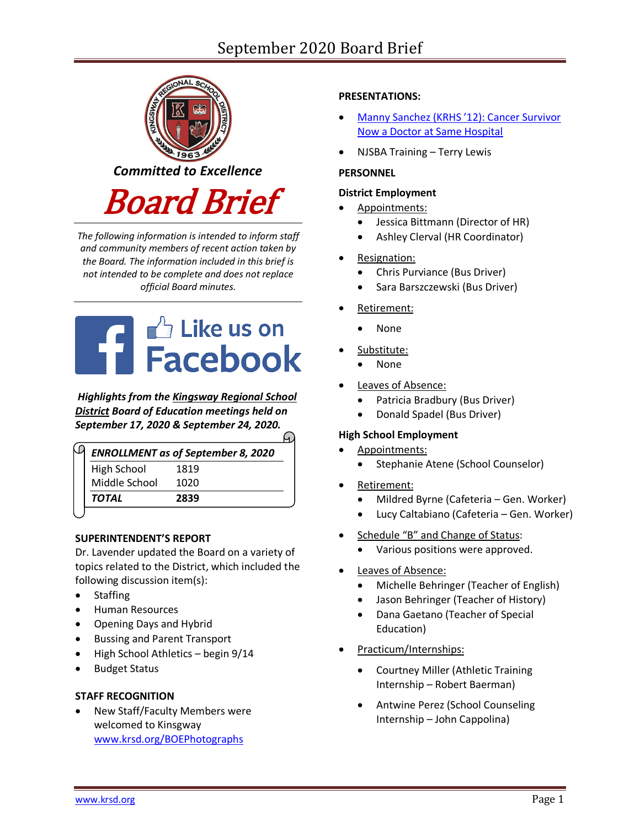# September 2020 Board Brief



*The following information is intended to inform staff and community members of recent action taken by the Board. The information included in this brief is not intended to be complete and does not replace official Board minutes.*

# **THE Like us on**<br>
Facebook

*Highlights from the [Kingsway Regional School](https://www.facebook.com/KingswayDragons)  [District](https://www.facebook.com/KingswayDragons) Board of Education meetings held on September 17, 2020 & September 24, 2020.*

| <b>ENROLLMENT</b> as of September 8, 2020 |
|-------------------------------------------|
| 1819                                      |
| 1020                                      |
| 2839                                      |
|                                           |

# **SUPERINTENDENT'S REPORT**

Dr. Lavender updated the Board on a variety of topics related to the District, which included the following discussion item(s):

- Staffing
- Human Resources
- Opening Days and Hybrid
- Bussing and Parent Transport
- High School Athletics begin 9/14
- Budget Status

# **STAFF RECOGNITION**

 New Staff/Faculty Members were welcomed to Kinsgway [www.krsd.org/BOEPhotographs](http://www.krsd.org/BOEPhotographs)

# **PRESENTATIONS:**

- Manny Sanchez [\(KRHS '12\): Cancer Survivor](https://www.nbcphiladelphia.com/news/health/cancer-survivor-now-a-doctor-at-same-hospital-that-saved-his-life/2540190/)  [Now a Doctor at Same Hospital](https://www.nbcphiladelphia.com/news/health/cancer-survivor-now-a-doctor-at-same-hospital-that-saved-his-life/2540190/)
- NJSBA Training Terry Lewis

## **PERSONNEL**

#### **District Employment**

- Appointments:
	- Jessica Bittmann (Director of HR)
	- Ashley Clerval (HR Coordinator)
- Resignation:
	- Chris Purviance (Bus Driver)
	- Sara Barszczewski (Bus Driver)
- Retirement:
	- None
- Substitute:
	- None
- Leaves of Absence:
	- Patricia Bradbury (Bus Driver)
	- Donald Spadel (Bus Driver)

# **High School Employment**

- Appointments:
	- Stephanie Atene (School Counselor)
- Retirement:
	- Mildred Byrne (Cafeteria Gen. Worker)
	- Lucy Caltabiano (Cafeteria Gen. Worker)
- Schedule "B" and Change of Status:
	- Various positions were approved.
- Leaves of Absence:
	- Michelle Behringer (Teacher of English)
	- Jason Behringer (Teacher of History)
	- Dana Gaetano (Teacher of Special Education)
- Practicum/Internships:
	- Courtney Miller (Athletic Training Internship – Robert Baerman)
	- Antwine Perez (School Counseling Internship – John Cappolina)